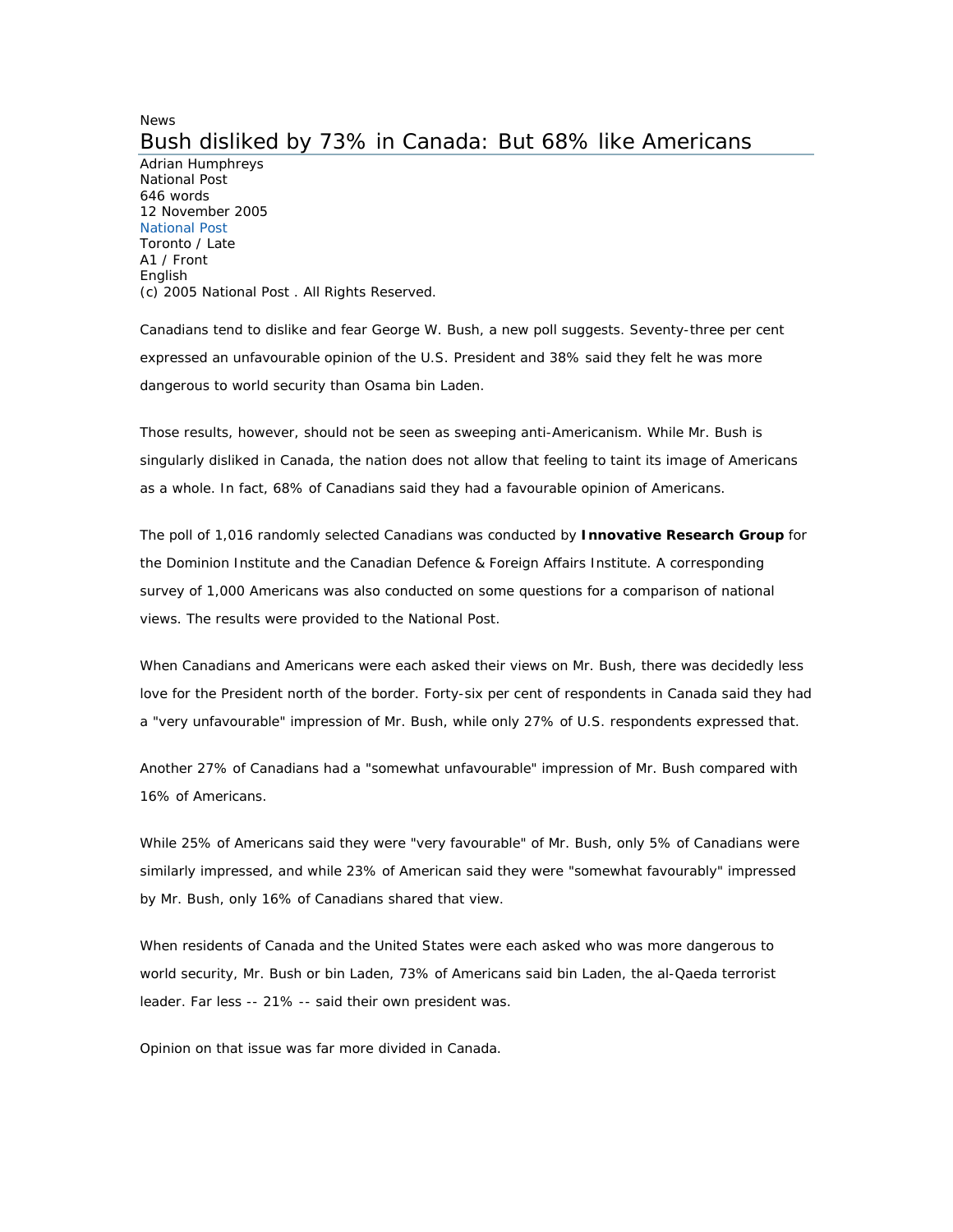## News Bush disliked by 73% in Canada: But 68% like Americans

Adrian Humphreys National Post 646 words 12 November 2005 National Post Toronto / Late A1 / Front English (c) 2005 National Post . All Rights Reserved.

Canadians tend to dislike and fear George W. Bush, a new poll suggests. Seventy-three per cent expressed an unfavourable opinion of the U.S. President and 38% said they felt he was more dangerous to world security than Osama bin Laden.

Those results, however, should not be seen as sweeping anti-Americanism. While Mr. Bush is singularly disliked in Canada, the nation does not allow that feeling to taint its image of Americans as a whole. In fact, 68% of Canadians said they had a favourable opinion of Americans.

The poll of 1,016 randomly selected Canadians was conducted by **Innovative Research Group** for the Dominion Institute and the Canadian Defence & Foreign Affairs Institute. A corresponding survey of 1,000 Americans was also conducted on some questions for a comparison of national views. The results were provided to the National Post.

When Canadians and Americans were each asked their views on Mr. Bush, there was decidedly less love for the President north of the border. Forty-six per cent of respondents in Canada said they had a "very unfavourable" impression of Mr. Bush, while only 27% of U.S. respondents expressed that.

Another 27% of Canadians had a "somewhat unfavourable" impression of Mr. Bush compared with 16% of Americans.

While 25% of Americans said they were "very favourable" of Mr. Bush, only 5% of Canadians were similarly impressed, and while 23% of American said they were "somewhat favourably" impressed by Mr. Bush, only 16% of Canadians shared that view.

When residents of Canada and the United States were each asked who was more dangerous to world security, Mr. Bush or bin Laden, 73% of Americans said bin Laden, the al-Qaeda terrorist leader. Far less -- 21% -- said their own president was.

Opinion on that issue was far more divided in Canada.